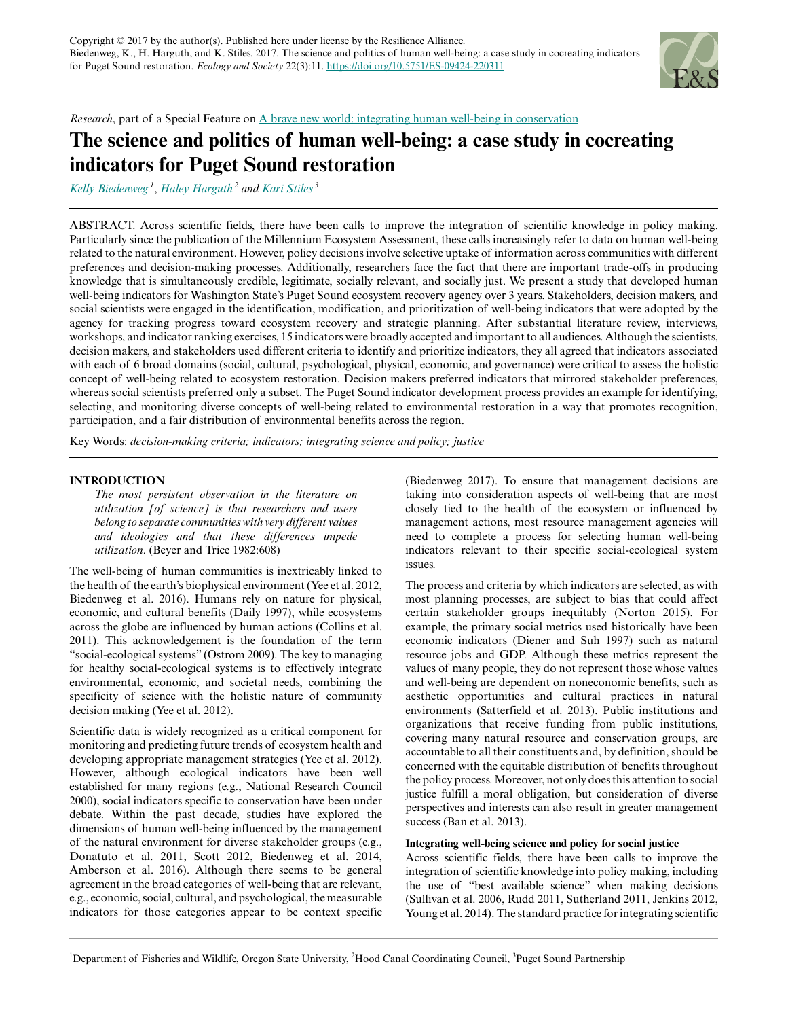

*Research*, part of a Special Feature on [A brave new world: integrating human well-being in conservation](https://www.ecologyandsociety.org/viewissue.php?sf=126)

# **The science and politics of human well-being: a case study in cocreating indicators for Puget Sound restoration**

*[Kelly Biedenweg](mailto:kelly.biedenweg@oregonstate.edu)<sup>1</sup>* , *[Haley Harguth](mailto:hharguth@hccc.wa.gov)<sup>2</sup> and [Kari Stiles](mailto:kari.stiles@psp.wa.gov)<sup>3</sup>*

ABSTRACT. Across scientific fields, there have been calls to improve the integration of scientific knowledge in policy making. Particularly since the publication of the Millennium Ecosystem Assessment, these calls increasingly refer to data on human well-being related to the natural environment. However, policy decisions involve selective uptake of information across communities with different preferences and decision-making processes. Additionally, researchers face the fact that there are important trade-offs in producing knowledge that is simultaneously credible, legitimate, socially relevant, and socially just. We present a study that developed human well-being indicators for Washington State's Puget Sound ecosystem recovery agency over 3 years. Stakeholders, decision makers, and social scientists were engaged in the identification, modification, and prioritization of well-being indicators that were adopted by the agency for tracking progress toward ecosystem recovery and strategic planning. After substantial literature review, interviews, workshops, and indicator ranking exercises, 15 indicators were broadly accepted and important to all audiences. Although the scientists, decision makers, and stakeholders used different criteria to identify and prioritize indicators, they all agreed that indicators associated with each of 6 broad domains (social, cultural, psychological, physical, economic, and governance) were critical to assess the holistic concept of well-being related to ecosystem restoration. Decision makers preferred indicators that mirrored stakeholder preferences, whereas social scientists preferred only a subset. The Puget Sound indicator development process provides an example for identifying, selecting, and monitoring diverse concepts of well-being related to environmental restoration in a way that promotes recognition, participation, and a fair distribution of environmental benefits across the region.

Key Words: *decision-making criteria; indicators; integrating science and policy; justice*

## **INTRODUCTION**

*The most persistent observation in the literature on utilization [of science] is that researchers and users belong to separate communities with very different values and ideologies and that these differences impede utilization*. (Beyer and Trice 1982:608)

The well-being of human communities is inextricably linked to the health of the earth's biophysical environment (Yee et al. 2012, Biedenweg et al. 2016). Humans rely on nature for physical, economic, and cultural benefits (Daily 1997), while ecosystems across the globe are influenced by human actions (Collins et al. 2011). This acknowledgement is the foundation of the term "social-ecological systems" (Ostrom 2009). The key to managing for healthy social-ecological systems is to effectively integrate environmental, economic, and societal needs, combining the specificity of science with the holistic nature of community decision making (Yee et al. 2012).

Scientific data is widely recognized as a critical component for monitoring and predicting future trends of ecosystem health and developing appropriate management strategies (Yee et al. 2012). However, although ecological indicators have been well established for many regions (e.g., National Research Council 2000), social indicators specific to conservation have been under debate. Within the past decade, studies have explored the dimensions of human well-being influenced by the management of the natural environment for diverse stakeholder groups (e.g., Donatuto et al. 2011, Scott 2012, Biedenweg et al. 2014, Amberson et al. 2016). Although there seems to be general agreement in the broad categories of well-being that are relevant, e.g., economic, social, cultural, and psychological, the measurable indicators for those categories appear to be context specific

(Biedenweg 2017). To ensure that management decisions are taking into consideration aspects of well-being that are most closely tied to the health of the ecosystem or influenced by management actions, most resource management agencies will need to complete a process for selecting human well-being indicators relevant to their specific social-ecological system issues.

The process and criteria by which indicators are selected, as with most planning processes, are subject to bias that could affect certain stakeholder groups inequitably (Norton 2015). For example, the primary social metrics used historically have been economic indicators (Diener and Suh 1997) such as natural resource jobs and GDP. Although these metrics represent the values of many people, they do not represent those whose values and well-being are dependent on noneconomic benefits, such as aesthetic opportunities and cultural practices in natural environments (Satterfield et al. 2013). Public institutions and organizations that receive funding from public institutions, covering many natural resource and conservation groups, are accountable to all their constituents and, by definition, should be concerned with the equitable distribution of benefits throughout the policy process. Moreover, not only does this attention to social justice fulfill a moral obligation, but consideration of diverse perspectives and interests can also result in greater management success (Ban et al. 2013).

## **Integrating well-being science and policy for social justice**

Across scientific fields, there have been calls to improve the integration of scientific knowledge into policy making, including the use of "best available science" when making decisions (Sullivan et al. 2006, Rudd 2011, Sutherland 2011, Jenkins 2012, Young et al. 2014). The standard practice for integrating scientific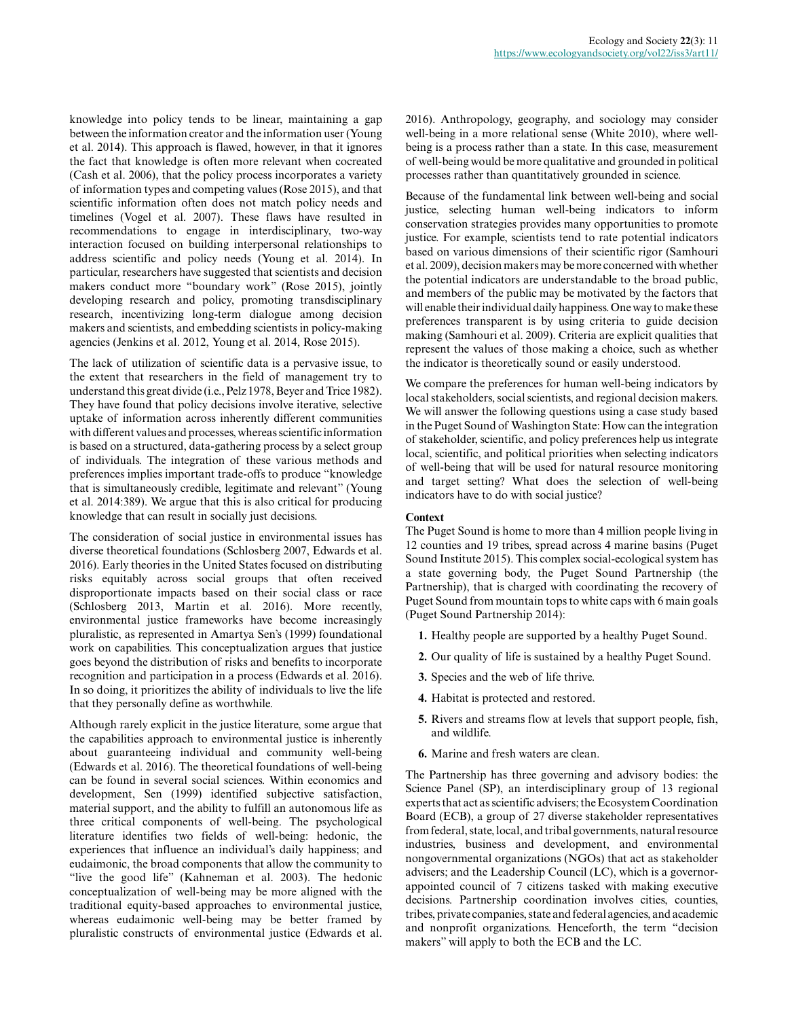knowledge into policy tends to be linear, maintaining a gap between the information creator and the information user (Young et al. 2014). This approach is flawed, however, in that it ignores the fact that knowledge is often more relevant when cocreated (Cash et al. 2006), that the policy process incorporates a variety of information types and competing values (Rose 2015), and that scientific information often does not match policy needs and timelines (Vogel et al. 2007). These flaws have resulted in recommendations to engage in interdisciplinary, two-way interaction focused on building interpersonal relationships to address scientific and policy needs (Young et al. 2014). In particular, researchers have suggested that scientists and decision makers conduct more "boundary work" (Rose 2015), jointly developing research and policy, promoting transdisciplinary research, incentivizing long-term dialogue among decision makers and scientists, and embedding scientists in policy-making agencies (Jenkins et al. 2012, Young et al. 2014, Rose 2015).

The lack of utilization of scientific data is a pervasive issue, to the extent that researchers in the field of management try to understand this great divide (i.e., Pelz 1978, Beyer and Trice 1982). They have found that policy decisions involve iterative, selective uptake of information across inherently different communities with different values and processes, whereas scientific information is based on a structured, data-gathering process by a select group of individuals. The integration of these various methods and preferences implies important trade-offs to produce "knowledge that is simultaneously credible, legitimate and relevant" (Young et al. 2014:389). We argue that this is also critical for producing knowledge that can result in socially just decisions.

The consideration of social justice in environmental issues has diverse theoretical foundations (Schlosberg 2007, Edwards et al. 2016). Early theories in the United States focused on distributing risks equitably across social groups that often received disproportionate impacts based on their social class or race (Schlosberg 2013, Martin et al. 2016). More recently, environmental justice frameworks have become increasingly pluralistic, as represented in Amartya Sen's (1999) foundational work on capabilities. This conceptualization argues that justice goes beyond the distribution of risks and benefits to incorporate recognition and participation in a process (Edwards et al. 2016). In so doing, it prioritizes the ability of individuals to live the life that they personally define as worthwhile.

Although rarely explicit in the justice literature, some argue that the capabilities approach to environmental justice is inherently about guaranteeing individual and community well-being (Edwards et al. 2016). The theoretical foundations of well-being can be found in several social sciences. Within economics and development, Sen (1999) identified subjective satisfaction, material support, and the ability to fulfill an autonomous life as three critical components of well-being. The psychological literature identifies two fields of well-being: hedonic, the experiences that influence an individual's daily happiness; and eudaimonic, the broad components that allow the community to "live the good life" (Kahneman et al. 2003). The hedonic conceptualization of well-being may be more aligned with the traditional equity-based approaches to environmental justice, whereas eudaimonic well-being may be better framed by pluralistic constructs of environmental justice (Edwards et al.

2016). Anthropology, geography, and sociology may consider well-being in a more relational sense (White 2010), where wellbeing is a process rather than a state. In this case, measurement of well-being would be more qualitative and grounded in political processes rather than quantitatively grounded in science.

Because of the fundamental link between well-being and social justice, selecting human well-being indicators to inform conservation strategies provides many opportunities to promote justice. For example, scientists tend to rate potential indicators based on various dimensions of their scientific rigor (Samhouri et al. 2009), decision makers may be more concerned with whether the potential indicators are understandable to the broad public, and members of the public may be motivated by the factors that will enable their individual daily happiness. One way to make these preferences transparent is by using criteria to guide decision making (Samhouri et al. 2009). Criteria are explicit qualities that represent the values of those making a choice, such as whether the indicator is theoretically sound or easily understood.

We compare the preferences for human well-being indicators by local stakeholders, social scientists, and regional decision makers. We will answer the following questions using a case study based in the Puget Sound of Washington State: How can the integration of stakeholder, scientific, and policy preferences help us integrate local, scientific, and political priorities when selecting indicators of well-being that will be used for natural resource monitoring and target setting? What does the selection of well-being indicators have to do with social justice?

## **Context**

The Puget Sound is home to more than 4 million people living in 12 counties and 19 tribes, spread across 4 marine basins (Puget Sound Institute 2015). This complex social-ecological system has a state governing body, the Puget Sound Partnership (the Partnership), that is charged with coordinating the recovery of Puget Sound from mountain tops to white caps with 6 main goals (Puget Sound Partnership 2014):

- **1.** Healthy people are supported by a healthy Puget Sound.
- **2.** Our quality of life is sustained by a healthy Puget Sound.
- **3.** Species and the web of life thrive.
- **4.** Habitat is protected and restored.
- **5.** Rivers and streams flow at levels that support people, fish, and wildlife.
- **6.** Marine and fresh waters are clean.

The Partnership has three governing and advisory bodies: the Science Panel (SP), an interdisciplinary group of 13 regional experts that act as scientific advisers; the Ecosystem Coordination Board (ECB), a group of 27 diverse stakeholder representatives from federal, state, local, and tribal governments, natural resource industries, business and development, and environmental nongovernmental organizations (NGOs) that act as stakeholder advisers; and the Leadership Council (LC), which is a governorappointed council of 7 citizens tasked with making executive decisions. Partnership coordination involves cities, counties, tribes, private companies, state and federal agencies, and academic and nonprofit organizations. Henceforth, the term "decision makers" will apply to both the ECB and the LC.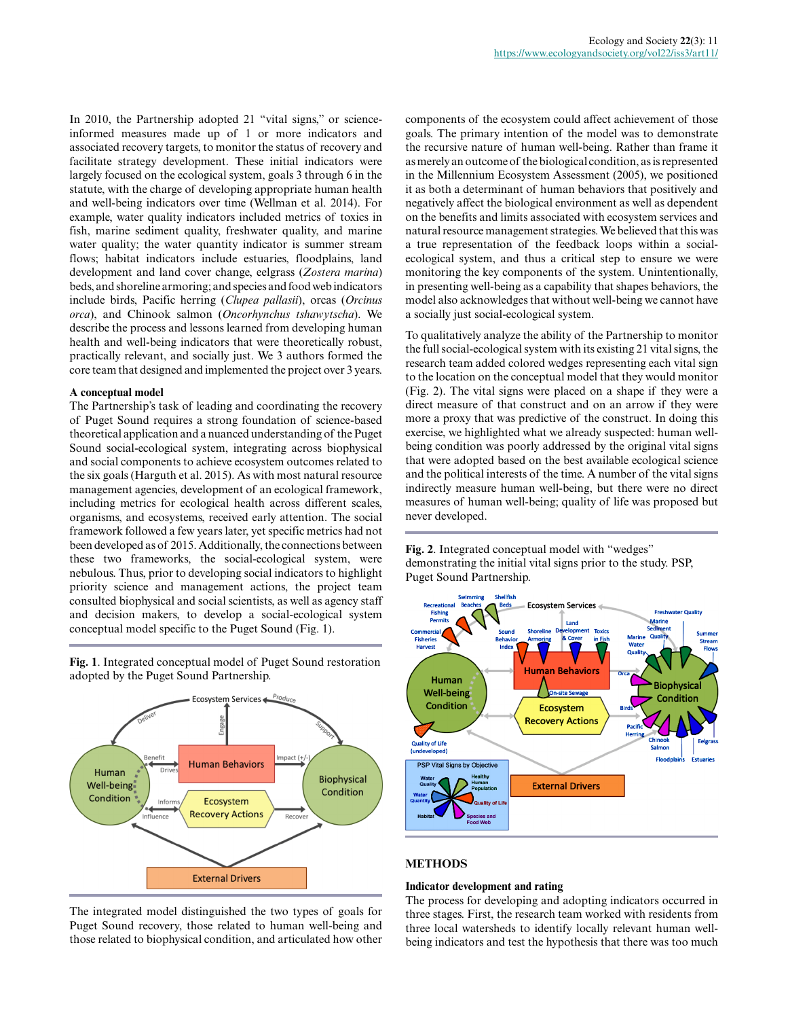In 2010, the Partnership adopted 21 "vital signs," or scienceinformed measures made up of 1 or more indicators and associated recovery targets, to monitor the status of recovery and facilitate strategy development. These initial indicators were largely focused on the ecological system, goals 3 through 6 in the statute, with the charge of developing appropriate human health and well-being indicators over time (Wellman et al. 2014). For example, water quality indicators included metrics of toxics in fish, marine sediment quality, freshwater quality, and marine water quality; the water quantity indicator is summer stream flows; habitat indicators include estuaries, floodplains, land development and land cover change, eelgrass (*Zostera marina*) beds, and shoreline armoring; and species and food web indicators include birds, Pacific herring (*Clupea pallasii*), orcas (*Orcinus orca*), and Chinook salmon (*Oncorhynchus tshawytscha*). We describe the process and lessons learned from developing human health and well-being indicators that were theoretically robust, practically relevant, and socially just. We 3 authors formed the core team that designed and implemented the project over 3 years.

## **A conceptual model**

The Partnership's task of leading and coordinating the recovery of Puget Sound requires a strong foundation of science-based theoretical application and a nuanced understanding of the Puget Sound social-ecological system, integrating across biophysical and social components to achieve ecosystem outcomes related to the six goals (Harguth et al. 2015). As with most natural resource management agencies, development of an ecological framework, including metrics for ecological health across different scales, organisms, and ecosystems, received early attention. The social framework followed a few years later, yet specific metrics had not been developed as of 2015. Additionally, the connections between these two frameworks, the social-ecological system, were nebulous. Thus, prior to developing social indicators to highlight priority science and management actions, the project team consulted biophysical and social scientists, as well as agency staff and decision makers, to develop a social-ecological system conceptual model specific to the Puget Sound (Fig. 1).

**Fig. 1**. Integrated conceptual model of Puget Sound restoration adopted by the Puget Sound Partnership.



The integrated model distinguished the two types of goals for Puget Sound recovery, those related to human well-being and those related to biophysical condition, and articulated how other components of the ecosystem could affect achievement of those goals. The primary intention of the model was to demonstrate the recursive nature of human well-being. Rather than frame it as merely an outcome of the biological condition, as is represented in the Millennium Ecosystem Assessment (2005), we positioned it as both a determinant of human behaviors that positively and negatively affect the biological environment as well as dependent on the benefits and limits associated with ecosystem services and natural resource management strategies. We believed that this was a true representation of the feedback loops within a socialecological system, and thus a critical step to ensure we were monitoring the key components of the system. Unintentionally, in presenting well-being as a capability that shapes behaviors, the model also acknowledges that without well-being we cannot have a socially just social-ecological system.

To qualitatively analyze the ability of the Partnership to monitor the full social-ecological system with its existing 21 vital signs, the research team added colored wedges representing each vital sign to the location on the conceptual model that they would monitor (Fig. 2). The vital signs were placed on a shape if they were a direct measure of that construct and on an arrow if they were more a proxy that was predictive of the construct. In doing this exercise, we highlighted what we already suspected: human wellbeing condition was poorly addressed by the original vital signs that were adopted based on the best available ecological science and the political interests of the time. A number of the vital signs indirectly measure human well-being, but there were no direct measures of human well-being; quality of life was proposed but never developed.

**Fig. 2**. Integrated conceptual model with "wedges" demonstrating the initial vital signs prior to the study. PSP, Puget Sound Partnership.



# **METHODS**

#### **Indicator development and rating**

The process for developing and adopting indicators occurred in three stages. First, the research team worked with residents from three local watersheds to identify locally relevant human wellbeing indicators and test the hypothesis that there was too much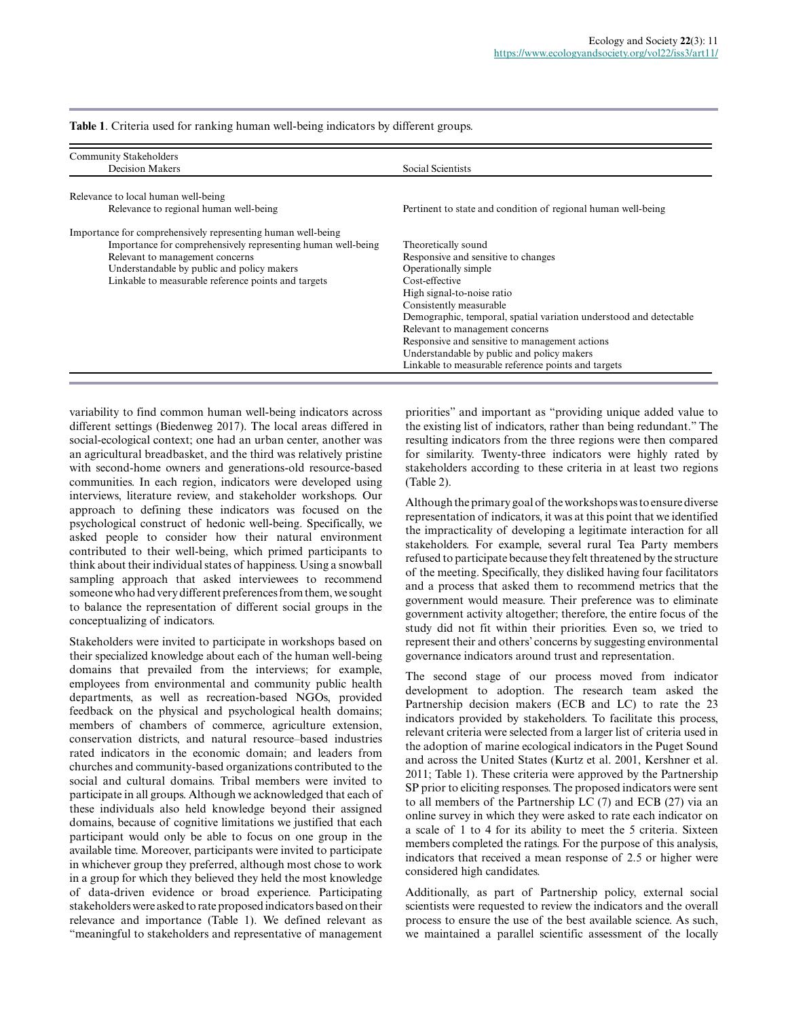| <b>Community Stakeholders</b><br><b>Decision Makers</b>      | Social Scientists                                                  |
|--------------------------------------------------------------|--------------------------------------------------------------------|
| Relevance to local human well-being                          |                                                                    |
| Relevance to regional human well-being                       | Pertinent to state and condition of regional human well-being      |
| Importance for comprehensively representing human well-being |                                                                    |
| Importance for comprehensively representing human well-being | Theoretically sound                                                |
| Relevant to management concerns                              | Responsive and sensitive to changes                                |
| Understandable by public and policy makers                   | Operationally simple                                               |
| Linkable to measurable reference points and targets          | Cost-effective                                                     |
|                                                              | High signal-to-noise ratio                                         |
|                                                              | Consistently measurable                                            |
|                                                              | Demographic, temporal, spatial variation understood and detectable |
|                                                              | Relevant to management concerns                                    |
|                                                              | Responsive and sensitive to management actions                     |
|                                                              | Understandable by public and policy makers                         |
|                                                              | Linkable to measurable reference points and targets                |

**Table 1**. Criteria used for ranking human well-being indicators by different groups.

variability to find common human well-being indicators across different settings (Biedenweg 2017). The local areas differed in social-ecological context; one had an urban center, another was an agricultural breadbasket, and the third was relatively pristine with second-home owners and generations-old resource-based communities. In each region, indicators were developed using interviews, literature review, and stakeholder workshops. Our approach to defining these indicators was focused on the psychological construct of hedonic well-being. Specifically, we asked people to consider how their natural environment contributed to their well-being, which primed participants to think about their individual states of happiness. Using a snowball sampling approach that asked interviewees to recommend someone who had very different preferences from them, we sought to balance the representation of different social groups in the conceptualizing of indicators.

Stakeholders were invited to participate in workshops based on their specialized knowledge about each of the human well-being domains that prevailed from the interviews; for example, employees from environmental and community public health departments, as well as recreation-based NGOs, provided feedback on the physical and psychological health domains; members of chambers of commerce, agriculture extension, conservation districts, and natural resource–based industries rated indicators in the economic domain; and leaders from churches and community-based organizations contributed to the social and cultural domains. Tribal members were invited to participate in all groups. Although we acknowledged that each of these individuals also held knowledge beyond their assigned domains, because of cognitive limitations we justified that each participant would only be able to focus on one group in the available time. Moreover, participants were invited to participate in whichever group they preferred, although most chose to work in a group for which they believed they held the most knowledge of data-driven evidence or broad experience. Participating stakeholders were asked to rate proposed indicators based on their relevance and importance (Table 1). We defined relevant as "meaningful to stakeholders and representative of management

priorities" and important as "providing unique added value to the existing list of indicators, rather than being redundant." The resulting indicators from the three regions were then compared for similarity. Twenty-three indicators were highly rated by stakeholders according to these criteria in at least two regions (Table 2).

Although the primary goal of the workshops was to ensure diverse representation of indicators, it was at this point that we identified the impracticality of developing a legitimate interaction for all stakeholders. For example, several rural Tea Party members refused to participate because they felt threatened by the structure of the meeting. Specifically, they disliked having four facilitators and a process that asked them to recommend metrics that the government would measure. Their preference was to eliminate government activity altogether; therefore, the entire focus of the study did not fit within their priorities. Even so, we tried to represent their and others' concerns by suggesting environmental governance indicators around trust and representation.

The second stage of our process moved from indicator development to adoption. The research team asked the Partnership decision makers (ECB and LC) to rate the 23 indicators provided by stakeholders. To facilitate this process, relevant criteria were selected from a larger list of criteria used in the adoption of marine ecological indicators in the Puget Sound and across the United States (Kurtz et al. 2001, Kershner et al. 2011; Table 1). These criteria were approved by the Partnership SP prior to eliciting responses. The proposed indicators were sent to all members of the Partnership LC (7) and ECB (27) via an online survey in which they were asked to rate each indicator on a scale of 1 to 4 for its ability to meet the 5 criteria. Sixteen members completed the ratings. For the purpose of this analysis, indicators that received a mean response of 2.5 or higher were considered high candidates.

Additionally, as part of Partnership policy, external social scientists were requested to review the indicators and the overall process to ensure the use of the best available science. As such, we maintained a parallel scientific assessment of the locally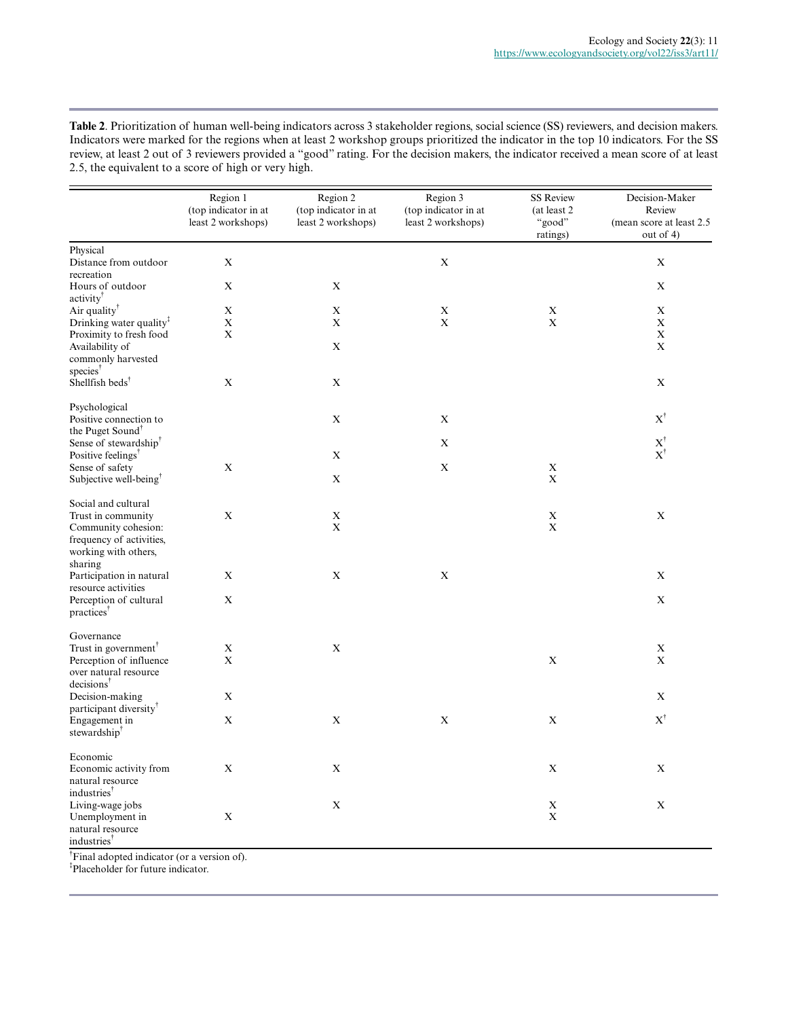**Table 2**. Prioritization of human well-being indicators across 3 stakeholder regions, social science (SS) reviewers, and decision makers. Indicators were marked for the regions when at least 2 workshop groups prioritized the indicator in the top 10 indicators. For the SS review, at least 2 out of 3 reviewers provided a "good" rating. For the decision makers, the indicator received a mean score of at least 2.5, the equivalent to a score of high or very high.

|                                                                 | Region 1<br>(top indicator in at<br>least 2 workshops) | Region 2<br>(top indicator in at<br>least 2 workshops) | Region 3<br>(top indicator in at<br>least 2 workshops) | SS Review<br>(at least 2)<br>"good"<br>ratings) | Decision-Maker<br>Review<br>(mean score at least 2.5)<br>out of 4) |
|-----------------------------------------------------------------|--------------------------------------------------------|--------------------------------------------------------|--------------------------------------------------------|-------------------------------------------------|--------------------------------------------------------------------|
| Physical                                                        |                                                        |                                                        |                                                        |                                                 |                                                                    |
| Distance from outdoor                                           | $\mathbf X$                                            |                                                        | $\mathbf X$                                            |                                                 | $\mathbf X$                                                        |
| recreation                                                      |                                                        |                                                        |                                                        |                                                 |                                                                    |
| Hours of outdoor                                                | $\mathbf X$                                            | $\mathbf X$                                            |                                                        |                                                 | $\mathbf X$                                                        |
| activity <sup>†</sup>                                           |                                                        |                                                        |                                                        |                                                 |                                                                    |
| Air quality <sup>†</sup>                                        | $\mathbf X$                                            | $\mathbf X$                                            | $\mathbf X$<br>$\mathbf X$                             | $\mathbf X$                                     | $\mathbf X$                                                        |
| Drinking water quality <sup>‡</sup>                             | $\mathbf X$<br>$\mathbf X$                             | $\mathbf X$                                            |                                                        | $\mathbf X$                                     | $\mathbf X$<br>$\mathbf X$                                         |
| Proximity to fresh food<br>Availability of                      |                                                        | $\mathbf X$                                            |                                                        |                                                 | $\mathbf X$                                                        |
| commonly harvested                                              |                                                        |                                                        |                                                        |                                                 |                                                                    |
| species <sup>†</sup>                                            |                                                        |                                                        |                                                        |                                                 |                                                                    |
| Shellfish beds <sup>†</sup>                                     | $\mathbf X$                                            | $\mathbf X$                                            |                                                        |                                                 | $\mathbf X$                                                        |
|                                                                 |                                                        |                                                        |                                                        |                                                 |                                                                    |
| Psychological                                                   |                                                        |                                                        |                                                        |                                                 |                                                                    |
| Positive connection to                                          |                                                        | $\mathbf X$                                            | $\mathbf X$                                            |                                                 | $X^{\dagger}$                                                      |
| the Puget Sound <sup>†</sup>                                    |                                                        |                                                        |                                                        |                                                 |                                                                    |
| Sense of stewardship <sup>†</sup>                               |                                                        |                                                        | $\mathbf X$                                            |                                                 | $\mathbf{X}^{\dagger}$                                             |
| Positive feelings <sup>†</sup>                                  |                                                        | $\mathbf X$                                            |                                                        |                                                 | $\textbf{X}^\dagger$                                               |
| Sense of safety                                                 | $\mathbf X$                                            |                                                        | $\mathbf X$                                            | $\mathbf X$                                     |                                                                    |
| Subjective well-being <sup>†</sup>                              |                                                        | $\mathbf X$                                            |                                                        | $\mathbf X$                                     |                                                                    |
| Social and cultural                                             |                                                        |                                                        |                                                        |                                                 |                                                                    |
| Trust in community                                              | $\mathbf X$                                            | $\mathbf X$                                            |                                                        | $\mathbf X$                                     | $\mathbf X$                                                        |
| Community cohesion:                                             |                                                        | $\mathbf X$                                            |                                                        | X                                               |                                                                    |
| frequency of activities,                                        |                                                        |                                                        |                                                        |                                                 |                                                                    |
| working with others,                                            |                                                        |                                                        |                                                        |                                                 |                                                                    |
| sharing                                                         |                                                        |                                                        |                                                        |                                                 |                                                                    |
| Participation in natural                                        | $\mathbf X$                                            | $\mathbf X$                                            | $\mathbf X$                                            |                                                 | $\mathbf X$                                                        |
| resource activities                                             |                                                        |                                                        |                                                        |                                                 |                                                                    |
| Perception of cultural                                          | $\mathbf X$                                            |                                                        |                                                        |                                                 | $\mathbf X$                                                        |
| practices <sup>†</sup>                                          |                                                        |                                                        |                                                        |                                                 |                                                                    |
| Governance                                                      |                                                        |                                                        |                                                        |                                                 |                                                                    |
| Trust in government <sup>†</sup>                                | $\mathbf X$                                            | $\mathbf X$                                            |                                                        |                                                 | $\mathbf X$                                                        |
| Perception of influence                                         | $\mathbf X$                                            |                                                        |                                                        | $\mathbf X$                                     | $\mathbf X$                                                        |
| over natural resource                                           |                                                        |                                                        |                                                        |                                                 |                                                                    |
| decisions <sup>†</sup>                                          |                                                        |                                                        |                                                        |                                                 |                                                                    |
| Decision-making                                                 | $\mathbf X$                                            |                                                        |                                                        |                                                 | X                                                                  |
| participant diversity <sup>®</sup>                              |                                                        |                                                        |                                                        |                                                 |                                                                    |
| Engagement in                                                   | $\mathbf X$                                            | $\mathbf X$                                            | $\mathbf X$                                            | $\mathbf X$                                     | $\mathbf{X}^\dagger$                                               |
| stewardship <sup>†</sup>                                        |                                                        |                                                        |                                                        |                                                 |                                                                    |
| Economic                                                        |                                                        |                                                        |                                                        |                                                 |                                                                    |
| Economic activity from                                          | $\mathbf X$                                            | $\mathbf X$                                            |                                                        | $\mathbf X$                                     | $\mathbf X$                                                        |
| natural resource                                                |                                                        |                                                        |                                                        |                                                 |                                                                    |
| industries <sup>†</sup>                                         |                                                        |                                                        |                                                        |                                                 |                                                                    |
| Living-wage jobs                                                |                                                        | $\mathbf X$                                            |                                                        | $\mathbf X$                                     | $\mathbf X$                                                        |
| Unemployment in                                                 | $\mathbf X$                                            |                                                        |                                                        | $\mathbf X$                                     |                                                                    |
| natural resource                                                |                                                        |                                                        |                                                        |                                                 |                                                                    |
| industries <sup>†</sup>                                         |                                                        |                                                        |                                                        |                                                 |                                                                    |
| $\overline{\text{[Final adopted indicator (or a version of)]}}$ |                                                        |                                                        |                                                        |                                                 |                                                                    |

Final adopted indicator (or a version of). ‡ Placeholder for future indicator.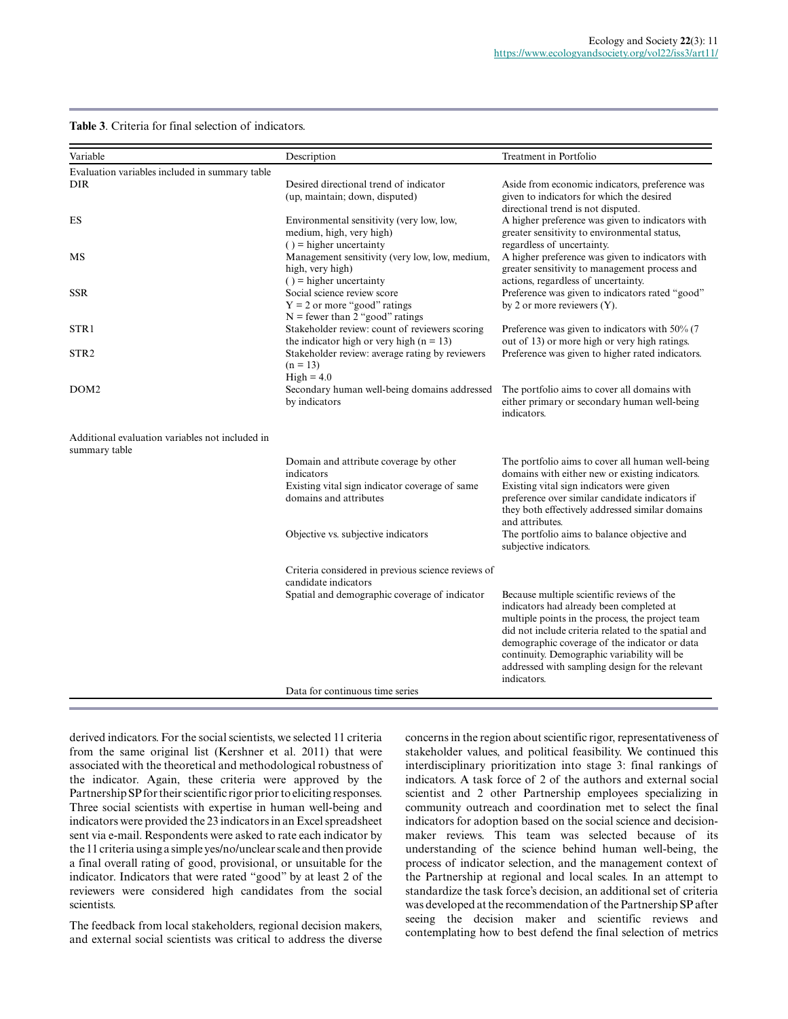| <b>Table 3.</b> Criteria for final selection of indicators. |  |  |
|-------------------------------------------------------------|--|--|
|-------------------------------------------------------------|--|--|

| Variable                                                         | Description                                                                                                                      | Treatment in Portfolio                                                                                                                                                                                                                                                                                                                                              |
|------------------------------------------------------------------|----------------------------------------------------------------------------------------------------------------------------------|---------------------------------------------------------------------------------------------------------------------------------------------------------------------------------------------------------------------------------------------------------------------------------------------------------------------------------------------------------------------|
| Evaluation variables included in summary table                   |                                                                                                                                  |                                                                                                                                                                                                                                                                                                                                                                     |
| <b>DIR</b>                                                       | Desired directional trend of indicator<br>(up, maintain; down, disputed)                                                         | Aside from economic indicators, preference was<br>given to indicators for which the desired<br>directional trend is not disputed.                                                                                                                                                                                                                                   |
| ES                                                               | Environmental sensitivity (very low, low,<br>medium, high, very high)<br>$()$ = higher uncertainty                               | A higher preference was given to indicators with<br>greater sensitivity to environmental status,<br>regardless of uncertainty.                                                                                                                                                                                                                                      |
| МS                                                               | Management sensitivity (very low, low, medium,<br>high, very high)<br>$()$ = higher uncertainty                                  | A higher preference was given to indicators with<br>greater sensitivity to management process and<br>actions, regardless of uncertainty.                                                                                                                                                                                                                            |
| <b>SSR</b>                                                       | Social science review score<br>$Y = 2$ or more "good" ratings<br>$N =$ fewer than 2 "good" ratings                               | Preference was given to indicators rated "good"<br>by 2 or more reviewers $(Y)$ .                                                                                                                                                                                                                                                                                   |
| STR <sub>1</sub>                                                 | Stakeholder review: count of reviewers scoring<br>the indicator high or very high $(n = 13)$                                     | Preference was given to indicators with 50% (7)<br>out of 13) or more high or very high ratings.                                                                                                                                                                                                                                                                    |
| STR <sub>2</sub>                                                 | Stakeholder review: average rating by reviewers<br>$(n = 13)$<br>$High = 4.0$                                                    | Preference was given to higher rated indicators.                                                                                                                                                                                                                                                                                                                    |
| DOM <sub>2</sub>                                                 | Secondary human well-being domains addressed<br>by indicators                                                                    | The portfolio aims to cover all domains with<br>either primary or secondary human well-being<br>indicators.                                                                                                                                                                                                                                                         |
| Additional evaluation variables not included in<br>summary table |                                                                                                                                  |                                                                                                                                                                                                                                                                                                                                                                     |
|                                                                  | Domain and attribute coverage by other<br>indicators<br>Existing vital sign indicator coverage of same<br>domains and attributes | The portfolio aims to cover all human well-being<br>domains with either new or existing indicators.<br>Existing vital sign indicators were given<br>preference over similar candidate indicators if<br>they both effectively addressed similar domains<br>and attributes.                                                                                           |
|                                                                  | Objective vs. subjective indicators                                                                                              | The portfolio aims to balance objective and<br>subjective indicators.                                                                                                                                                                                                                                                                                               |
|                                                                  | Criteria considered in previous science reviews of<br>candidate indicators                                                       |                                                                                                                                                                                                                                                                                                                                                                     |
|                                                                  | Spatial and demographic coverage of indicator                                                                                    | Because multiple scientific reviews of the<br>indicators had already been completed at<br>multiple points in the process, the project team<br>did not include criteria related to the spatial and<br>demographic coverage of the indicator or data<br>continuity. Demographic variability will be<br>addressed with sampling design for the relevant<br>indicators. |
|                                                                  | Data for continuous time series                                                                                                  |                                                                                                                                                                                                                                                                                                                                                                     |

derived indicators. For the social scientists, we selected 11 criteria from the same original list (Kershner et al. 2011) that were associated with the theoretical and methodological robustness of the indicator. Again, these criteria were approved by the Partnership SP for their scientific rigor prior to eliciting responses. Three social scientists with expertise in human well-being and indicators were provided the 23 indicators in an Excel spreadsheet sent via e-mail. Respondents were asked to rate each indicator by the 11 criteria using a simple yes/no/unclear scale and then provide a final overall rating of good, provisional, or unsuitable for the indicator. Indicators that were rated "good" by at least 2 of the reviewers were considered high candidates from the social scientists.

The feedback from local stakeholders, regional decision makers, and external social scientists was critical to address the diverse concerns in the region about scientific rigor, representativeness of stakeholder values, and political feasibility. We continued this interdisciplinary prioritization into stage 3: final rankings of indicators. A task force of 2 of the authors and external social scientist and 2 other Partnership employees specializing in community outreach and coordination met to select the final indicators for adoption based on the social science and decisionmaker reviews. This team was selected because of its understanding of the science behind human well-being, the process of indicator selection, and the management context of the Partnership at regional and local scales. In an attempt to standardize the task force's decision, an additional set of criteria was developed at the recommendation of the Partnership SP after seeing the decision maker and scientific reviews and contemplating how to best defend the final selection of metrics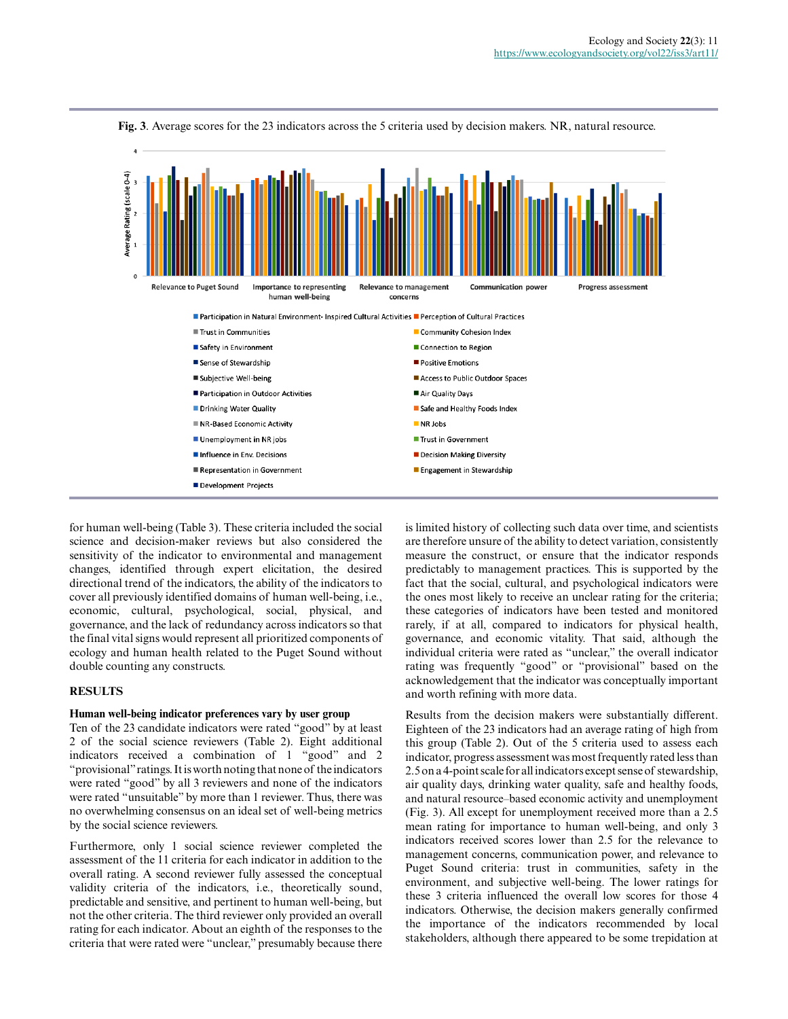

**Fig. 3**. Average scores for the 23 indicators across the 5 criteria used by decision makers. NR, natural resource.

for human well-being (Table 3). These criteria included the social science and decision-maker reviews but also considered the sensitivity of the indicator to environmental and management changes, identified through expert elicitation, the desired directional trend of the indicators, the ability of the indicators to cover all previously identified domains of human well-being, i.e., economic, cultural, psychological, social, physical, and governance, and the lack of redundancy across indicators so that the final vital signs would represent all prioritized components of ecology and human health related to the Puget Sound without double counting any constructs.

## **RESULTS**

## **Human well-being indicator preferences vary by user group**

Ten of the 23 candidate indicators were rated "good" by at least 2 of the social science reviewers (Table 2). Eight additional indicators received a combination of 1 "good" and 2 "provisional" ratings. It is worth noting that none of the indicators were rated "good" by all 3 reviewers and none of the indicators were rated "unsuitable" by more than 1 reviewer. Thus, there was no overwhelming consensus on an ideal set of well-being metrics by the social science reviewers.

Furthermore, only 1 social science reviewer completed the assessment of the 11 criteria for each indicator in addition to the overall rating. A second reviewer fully assessed the conceptual validity criteria of the indicators, i.e., theoretically sound, predictable and sensitive, and pertinent to human well-being, but not the other criteria. The third reviewer only provided an overall rating for each indicator. About an eighth of the responses to the criteria that were rated were "unclear," presumably because there

is limited history of collecting such data over time, and scientists are therefore unsure of the ability to detect variation, consistently measure the construct, or ensure that the indicator responds predictably to management practices. This is supported by the fact that the social, cultural, and psychological indicators were the ones most likely to receive an unclear rating for the criteria; these categories of indicators have been tested and monitored rarely, if at all, compared to indicators for physical health, governance, and economic vitality. That said, although the individual criteria were rated as "unclear," the overall indicator rating was frequently "good" or "provisional" based on the acknowledgement that the indicator was conceptually important and worth refining with more data.

Results from the decision makers were substantially different. Eighteen of the 23 indicators had an average rating of high from this group (Table 2). Out of the 5 criteria used to assess each indicator, progress assessment was most frequently rated less than 2.5 on a 4-point scale for all indicators except sense of stewardship, air quality days, drinking water quality, safe and healthy foods, and natural resource–based economic activity and unemployment (Fig. 3). All except for unemployment received more than a 2.5 mean rating for importance to human well-being, and only 3 indicators received scores lower than 2.5 for the relevance to management concerns, communication power, and relevance to Puget Sound criteria: trust in communities, safety in the environment, and subjective well-being. The lower ratings for these 3 criteria influenced the overall low scores for those 4 indicators. Otherwise, the decision makers generally confirmed the importance of the indicators recommended by local stakeholders, although there appeared to be some trepidation at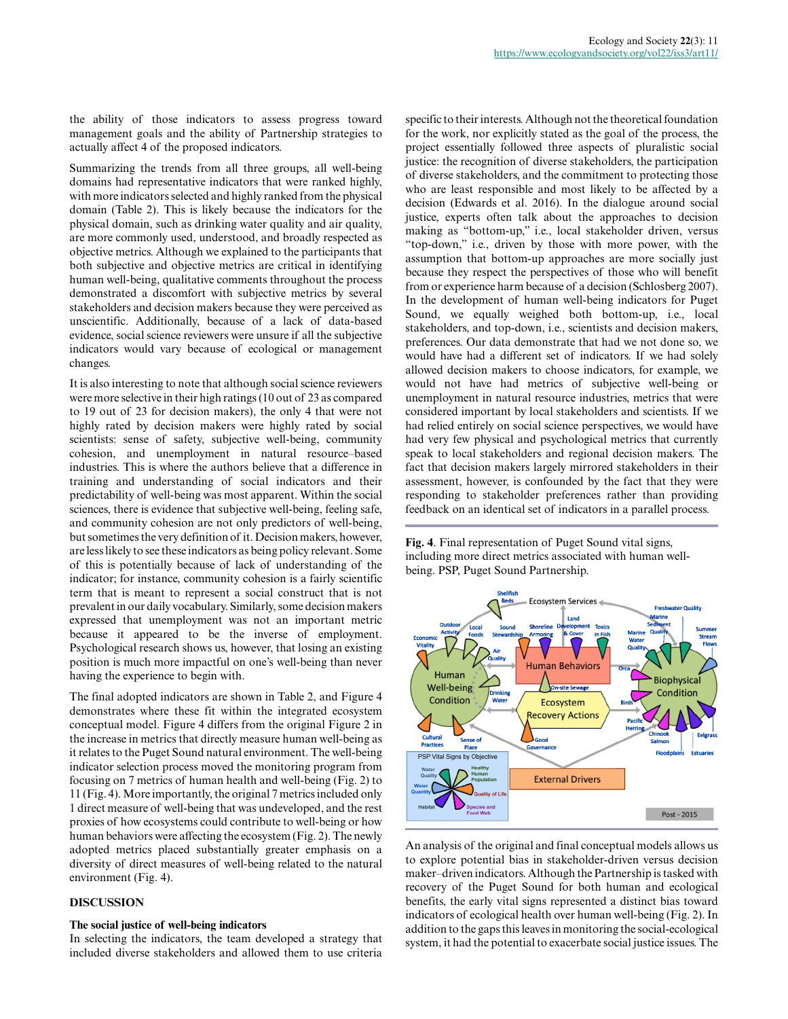the ability of those indicators to assess progress toward management goals and the ability of Partnership strategies to actually affect 4 of the proposed indicators.

Summarizing the trends from all three groups, all well-being domains had representative indicators that were ranked highly, with more indicators selected and highly ranked from the physical domain (Table 2). This is likely because the indicators for the physical domain, such as drinking water quality and air quality, are more commonly used, understood, and broadly respected as objective metrics. Although we explained to the participants that both subjective and objective metrics are critical in identifying human well-being, qualitative comments throughout the process demonstrated a discomfort with subjective metrics by several stakeholders and decision makers because they were perceived as unscientific. Additionally, because of a lack of data-based evidence, social science reviewers were unsure if all the subjective indicators would vary because of ecological or management changes.

It is also interesting to note that although social science reviewers were more selective in their high ratings (10 out of 23 as compared to 19 out of 23 for decision makers), the only 4 that were not highly rated by decision makers were highly rated by social scientists: sense of safety, subjective well-being, community cohesion, and unemployment in natural resource–based industries. This is where the authors believe that a difference in training and understanding of social indicators and their predictability of well-being was most apparent. Within the social sciences, there is evidence that subjective well-being, feeling safe, and community cohesion are not only predictors of well-being, but sometimes the very definition of it. Decision makers, however, are less likely to see these indicators as being policy relevant. Some of this is potentially because of lack of understanding of the indicator; for instance, community cohesion is a fairly scientific term that is meant to represent a social construct that is not prevalent in our daily vocabulary. Similarly, some decision makers expressed that unemployment was not an important metric because it appeared to be the inverse of employment. Psychological research shows us, however, that losing an existing position is much more impactful on one's well-being than never having the experience to begin with.

The final adopted indicators are shown in Table 2, and Figure 4 demonstrates where these fit within the integrated ecosystem conceptual model. Figure 4 differs from the original Figure 2 in the increase in metrics that directly measure human well-being as it relates to the Puget Sound natural environment. The well-being indicator selection process moved the monitoring program from focusing on 7 metrics of human health and well-being (Fig. 2) to 11 (Fig. 4). More importantly, the original 7 metrics included only 1 direct measure of well-being that was undeveloped, and the rest proxies of how ecosystems could contribute to well-being or how human behaviors were affecting the ecosystem (Fig. 2). The newly adopted metrics placed substantially greater emphasis on a diversity of direct measures of well-being related to the natural environment (Fig. 4).

## **DISCUSSION**

#### **The social justice of well-being indicators**

In selecting the indicators, the team developed a strategy that included diverse stakeholders and allowed them to use criteria specific to their interests. Although not the theoretical foundation for the work, nor explicitly stated as the goal of the process, the project essentially followed three aspects of pluralistic social justice: the recognition of diverse stakeholders, the participation of diverse stakeholders, and the commitment to protecting those who are least responsible and most likely to be affected by a decision (Edwards et al. 2016). In the dialogue around social justice, experts often talk about the approaches to decision making as "bottom-up," i.e., local stakeholder driven, versus "top-down," i.e., driven by those with more power, with the assumption that bottom-up approaches are more socially just because they respect the perspectives of those who will benefit from or experience harm because of a decision (Schlosberg 2007). In the development of human well-being indicators for Puget Sound, we equally weighed both bottom-up, i.e., local stakeholders, and top-down, i.e., scientists and decision makers, preferences. Our data demonstrate that had we not done so, we would have had a different set of indicators. If we had solely allowed decision makers to choose indicators, for example, we would not have had metrics of subjective well-being or unemployment in natural resource industries, metrics that were considered important by local stakeholders and scientists. If we had relied entirely on social science perspectives, we would have had very few physical and psychological metrics that currently speak to local stakeholders and regional decision makers. The fact that decision makers largely mirrored stakeholders in their assessment, however, is confounded by the fact that they were responding to stakeholder preferences rather than providing feedback on an identical set of indicators in a parallel process.

**Fig. 4**. Final representation of Puget Sound vital signs, including more direct metrics associated with human wellbeing. PSP, Puget Sound Partnership.



An analysis of the original and final conceptual models allows us to explore potential bias in stakeholder-driven versus decision maker–driven indicators. Although the Partnership is tasked with recovery of the Puget Sound for both human and ecological benefits, the early vital signs represented a distinct bias toward indicators of ecological health over human well-being (Fig. 2). In addition to the gaps this leaves in monitoring the social-ecological system, it had the potential to exacerbate social justice issues. The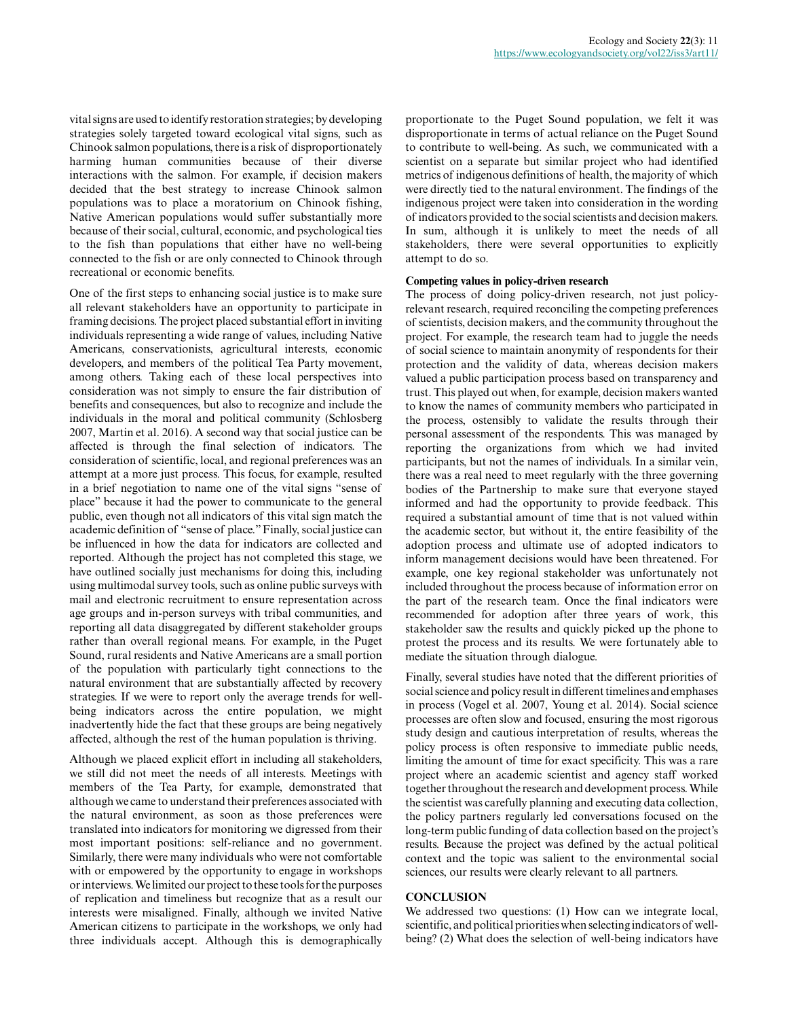vital signs are used to identify restoration strategies; by developing strategies solely targeted toward ecological vital signs, such as Chinook salmon populations, there is a risk of disproportionately harming human communities because of their diverse interactions with the salmon. For example, if decision makers decided that the best strategy to increase Chinook salmon populations was to place a moratorium on Chinook fishing, Native American populations would suffer substantially more because of their social, cultural, economic, and psychological ties to the fish than populations that either have no well-being connected to the fish or are only connected to Chinook through recreational or economic benefits.

One of the first steps to enhancing social justice is to make sure all relevant stakeholders have an opportunity to participate in framing decisions. The project placed substantial effort in inviting individuals representing a wide range of values, including Native Americans, conservationists, agricultural interests, economic developers, and members of the political Tea Party movement, among others. Taking each of these local perspectives into consideration was not simply to ensure the fair distribution of benefits and consequences, but also to recognize and include the individuals in the moral and political community (Schlosberg 2007, Martin et al. 2016). A second way that social justice can be affected is through the final selection of indicators. The consideration of scientific, local, and regional preferences was an attempt at a more just process. This focus, for example, resulted in a brief negotiation to name one of the vital signs "sense of place" because it had the power to communicate to the general public, even though not all indicators of this vital sign match the academic definition of "sense of place." Finally, social justice can be influenced in how the data for indicators are collected and reported. Although the project has not completed this stage, we have outlined socially just mechanisms for doing this, including using multimodal survey tools, such as online public surveys with mail and electronic recruitment to ensure representation across age groups and in-person surveys with tribal communities, and reporting all data disaggregated by different stakeholder groups rather than overall regional means. For example, in the Puget Sound, rural residents and Native Americans are a small portion of the population with particularly tight connections to the natural environment that are substantially affected by recovery strategies. If we were to report only the average trends for wellbeing indicators across the entire population, we might inadvertently hide the fact that these groups are being negatively affected, although the rest of the human population is thriving.

Although we placed explicit effort in including all stakeholders, we still did not meet the needs of all interests. Meetings with members of the Tea Party, for example, demonstrated that although we came to understand their preferences associated with the natural environment, as soon as those preferences were translated into indicators for monitoring we digressed from their most important positions: self-reliance and no government. Similarly, there were many individuals who were not comfortable with or empowered by the opportunity to engage in workshops or interviews. We limited our project to these tools for the purposes of replication and timeliness but recognize that as a result our interests were misaligned. Finally, although we invited Native American citizens to participate in the workshops, we only had three individuals accept. Although this is demographically

proportionate to the Puget Sound population, we felt it was disproportionate in terms of actual reliance on the Puget Sound to contribute to well-being. As such, we communicated with a scientist on a separate but similar project who had identified metrics of indigenous definitions of health, the majority of which were directly tied to the natural environment. The findings of the indigenous project were taken into consideration in the wording of indicators provided to the social scientists and decision makers. In sum, although it is unlikely to meet the needs of all stakeholders, there were several opportunities to explicitly attempt to do so.

## **Competing values in policy-driven research**

The process of doing policy-driven research, not just policyrelevant research, required reconciling the competing preferences of scientists, decision makers, and the community throughout the project. For example, the research team had to juggle the needs of social science to maintain anonymity of respondents for their protection and the validity of data, whereas decision makers valued a public participation process based on transparency and trust. This played out when, for example, decision makers wanted to know the names of community members who participated in the process, ostensibly to validate the results through their personal assessment of the respondents. This was managed by reporting the organizations from which we had invited participants, but not the names of individuals. In a similar vein, there was a real need to meet regularly with the three governing bodies of the Partnership to make sure that everyone stayed informed and had the opportunity to provide feedback. This required a substantial amount of time that is not valued within the academic sector, but without it, the entire feasibility of the adoption process and ultimate use of adopted indicators to inform management decisions would have been threatened. For example, one key regional stakeholder was unfortunately not included throughout the process because of information error on the part of the research team. Once the final indicators were recommended for adoption after three years of work, this stakeholder saw the results and quickly picked up the phone to protest the process and its results. We were fortunately able to mediate the situation through dialogue.

Finally, several studies have noted that the different priorities of social science and policy result in different timelines and emphases in process (Vogel et al. 2007, Young et al. 2014). Social science processes are often slow and focused, ensuring the most rigorous study design and cautious interpretation of results, whereas the policy process is often responsive to immediate public needs, limiting the amount of time for exact specificity. This was a rare project where an academic scientist and agency staff worked together throughout the research and development process. While the scientist was carefully planning and executing data collection, the policy partners regularly led conversations focused on the long-term public funding of data collection based on the project's results. Because the project was defined by the actual political context and the topic was salient to the environmental social sciences, our results were clearly relevant to all partners.

## **CONCLUSION**

We addressed two questions: (1) How can we integrate local, scientific, and political priorities when selecting indicators of wellbeing? (2) What does the selection of well-being indicators have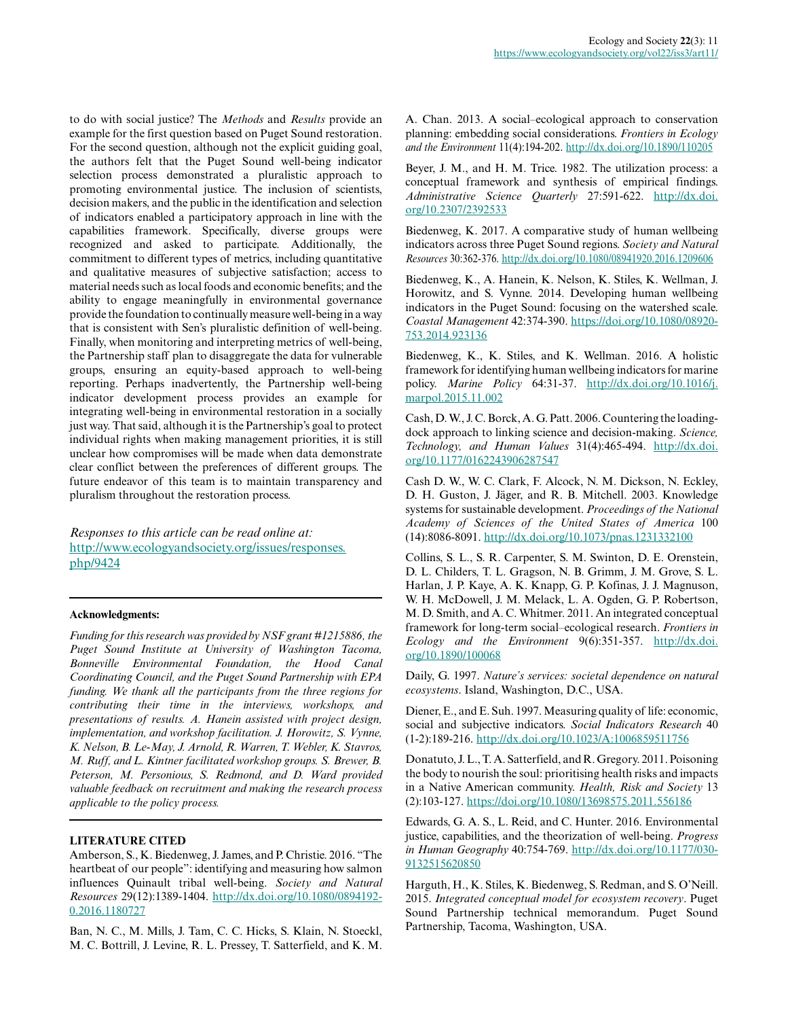to do with social justice? The *Methods* and *Results* provide an example for the first question based on Puget Sound restoration. For the second question, although not the explicit guiding goal, the authors felt that the Puget Sound well-being indicator selection process demonstrated a pluralistic approach to promoting environmental justice. The inclusion of scientists, decision makers, and the public in the identification and selection of indicators enabled a participatory approach in line with the capabilities framework. Specifically, diverse groups were recognized and asked to participate. Additionally, the commitment to different types of metrics, including quantitative and qualitative measures of subjective satisfaction; access to material needs such as local foods and economic benefits; and the ability to engage meaningfully in environmental governance provide the foundation to continually measure well-being in a way that is consistent with Sen's pluralistic definition of well-being. Finally, when monitoring and interpreting metrics of well-being, the Partnership staff plan to disaggregate the data for vulnerable groups, ensuring an equity-based approach to well-being reporting. Perhaps inadvertently, the Partnership well-being indicator development process provides an example for integrating well-being in environmental restoration in a socially just way. That said, although it is the Partnership's goal to protect individual rights when making management priorities, it is still unclear how compromises will be made when data demonstrate clear conflict between the preferences of different groups. The future endeavor of this team is to maintain transparency and pluralism throughout the restoration process.

*Responses to this article can be read online at:* [http://www.ecologyandsociety.org/issues/responses.](http://www.ecologyandsociety.org/issues/responses.php/9424) [php/9424](http://www.ecologyandsociety.org/issues/responses.php/9424)

## **Acknowledgments:**

*Funding for this research was provided by NSF grant #1215886, the Puget Sound Institute at University of Washington Tacoma, Bonneville Environmental Foundation, the Hood Canal Coordinating Council, and the Puget Sound Partnership with EPA funding. We thank all the participants from the three regions for contributing their time in the interviews, workshops, and presentations of results. A. Hanein assisted with project design, implementation, and workshop facilitation. J. Horowitz, S. Vynne, K. Nelson, B. Le-May, J. Arnold, R. Warren, T. Webler, K. Stavros, M. Ruff, and L. Kintner facilitated workshop groups. S. Brewer, B. Peterson, M. Personious, S. Redmond, and D. Ward provided valuable feedback on recruitment and making the research process applicable to the policy process.*

## **LITERATURE CITED**

Amberson, S., K. Biedenweg, J. James, and P. Christie. 2016. "The heartbeat of our people": identifying and measuring how salmon influences Quinault tribal well-being. *Society and Natural Resources* 29(12):1389-1404. [http://dx.doi.org/10.1080/0894192](http://dx.doi.org/10.1080%2F08941920.2016.1180727) [0.2016.1180727](http://dx.doi.org/10.1080%2F08941920.2016.1180727) 

Ban, N. C., M. Mills, J. Tam, C. C. Hicks, S. Klain, N. Stoeckl, M. C. Bottrill, J. Levine, R. L. Pressey, T. Satterfield, and K. M. A. Chan. 2013. A social–ecological approach to conservation planning: embedding social considerations. *Frontiers in Ecology and the Environment* 11(4):194-202. [http://dx.doi.org/10.1890/110205](http://dx.doi.org/10.1890%2F110205) 

Beyer, J. M., and H. M. Trice. 1982. The utilization process: a conceptual framework and synthesis of empirical findings. *Administrative Science Quarterly* 27:591-622. [http://dx.doi.](http://dx.doi.org/10.2307%2F2392533) [org/10.2307/2392533](http://dx.doi.org/10.2307%2F2392533) 

Biedenweg, K. 2017. A comparative study of human wellbeing indicators across three Puget Sound regions. *Society and Natural Resources* 30:362-376. [http://dx.doi.org/10.1080/08941920.2016.1209606](http://dx.doi.org/10.1080%2F08941920.2016.1209606)

Biedenweg, K., A. Hanein, K. Nelson, K. Stiles, K. Wellman, J. Horowitz, and S. Vynne. 2014. Developing human wellbeing indicators in the Puget Sound: focusing on the watershed scale. *Coastal Management* 42:374-390. [https://doi.org/10.1080/08920](https://doi.org/10.1080/08920753.2014.923136) [753.2014.923136](https://doi.org/10.1080/08920753.2014.923136)

Biedenweg, K., K. Stiles, and K. Wellman. 2016. A holistic framework for identifying human wellbeing indicators for marine policy. *Marine Policy* 64:31-37. [http://dx.doi.org/10.1016/j.](http://dx.doi.org/10.1016%2Fj.marpol.2015.11.002) [marpol.2015.11.002](http://dx.doi.org/10.1016%2Fj.marpol.2015.11.002) 

Cash, D. W., J. C. Borck, A. G. Patt. 2006. Countering the loadingdock approach to linking science and decision-making. *Science, Technology, and Human Values* 31(4):465-494. [http://dx.doi.](http://dx.doi.org/10.1177%2F0162243906287547) [org/10.1177/0162243906287547](http://dx.doi.org/10.1177%2F0162243906287547)

Cash D. W., W. C. Clark, F. Alcock, N. M. Dickson, N. Eckley, D. H. Guston, J. Jäger, and R. B. Mitchell. 2003. Knowledge systems for sustainable development. *Proceedings of the National Academy of Sciences of the United States of America* 100 (14):8086-8091. [http://dx.doi.org/10.1073/pnas.1231332100](http://dx.doi.org/10.1073%2Fpnas.1231332100)

Collins, S. L., S. R. Carpenter, S. M. Swinton, D. E. Orenstein, D. L. Childers, T. L. Gragson, N. B. Grimm, J. M. Grove, S. L. Harlan, J. P. Kaye, A. K. Knapp, G. P. Kofinas, J. J. Magnuson, W. H. McDowell, J. M. Melack, L. A. Ogden, G. P. Robertson, M. D. Smith, and A. C. Whitmer. 2011. An integrated conceptual framework for long-term social–ecological research. *Frontiers in Ecology and the Environment* 9(6):351-357. [http://dx.doi.](http://dx.doi.org/10.1890%2F100068) [org/10.1890/100068](http://dx.doi.org/10.1890%2F100068)

Daily, G. 1997. *Nature's services: societal dependence on natural ecosystems*. Island, Washington, D.C., USA.

Diener, E., and E. Suh. 1997. Measuring quality of life: economic, social and subjective indicators. *Social Indicators Research* 40 (1-2):189-216. [http://dx.doi.org/10.1023/A:1006859511756](http://dx.doi.org/10.1023%2FA%3A1006859511756)

Donatuto, J. L., T. A. Satterfield, and R. Gregory. 2011. Poisoning the body to nourish the soul: prioritising health risks and impacts in a Native American community. *Health, Risk and Society* 13 (2):103-127. <https://doi.org/10.1080/13698575.2011.556186>

Edwards, G. A. S., L. Reid, and C. Hunter. 2016. Environmental justice, capabilities, and the theorization of well-being. *Progress in Human Geography* 40:754-769. [http://dx.doi.org/10.1177/030](http://dx.doi.org/10.1177%2F0309132515620850) [9132515620850](http://dx.doi.org/10.1177%2F0309132515620850) 

Harguth, H., K. Stiles, K. Biedenweg, S. Redman, and S. O'Neill. 2015. *Integrated conceptual model for ecosystem recovery*. Puget Sound Partnership technical memorandum. Puget Sound Partnership, Tacoma, Washington, USA.